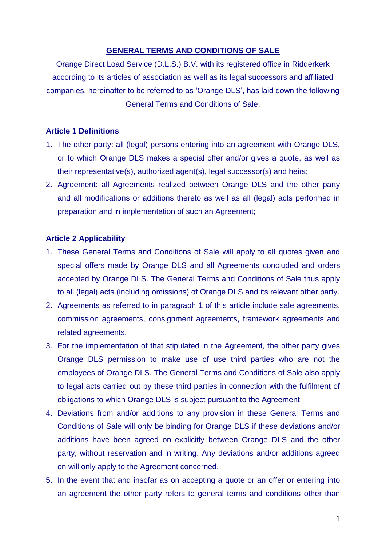## **GENERAL TERMS AND CONDITIONS OF SALE**

Orange Direct Load Service (D.L.S.) B.V. with its registered office in Ridderkerk according to its articles of association as well as its legal successors and affiliated companies, hereinafter to be referred to as 'Orange DLS', has laid down the following General Terms and Conditions of Sale:

## **Article 1 Definitions**

- 1. The other party: all (legal) persons entering into an agreement with Orange DLS, or to which Orange DLS makes a special offer and/or gives a quote, as well as their representative(s), authorized agent(s), legal successor(s) and heirs;
- 2. Agreement: all Agreements realized between Orange DLS and the other party and all modifications or additions thereto as well as all (legal) acts performed in preparation and in implementation of such an Agreement;

# **Article 2 Applicability**

- 1. These General Terms and Conditions of Sale will apply to all quotes given and special offers made by Orange DLS and all Agreements concluded and orders accepted by Orange DLS. The General Terms and Conditions of Sale thus apply to all (legal) acts (including omissions) of Orange DLS and its relevant other party.
- 2. Agreements as referred to in paragraph 1 of this article include sale agreements, commission agreements, consignment agreements, framework agreements and related agreements.
- 3. For the implementation of that stipulated in the Agreement, the other party gives Orange DLS permission to make use of use third parties who are not the employees of Orange DLS. The General Terms and Conditions of Sale also apply to legal acts carried out by these third parties in connection with the fulfilment of obligations to which Orange DLS is subject pursuant to the Agreement.
- 4. Deviations from and/or additions to any provision in these General Terms and Conditions of Sale will only be binding for Orange DLS if these deviations and/or additions have been agreed on explicitly between Orange DLS and the other party, without reservation and in writing. Any deviations and/or additions agreed on will only apply to the Agreement concerned.
- 5. In the event that and insofar as on accepting a quote or an offer or entering into an agreement the other party refers to general terms and conditions other than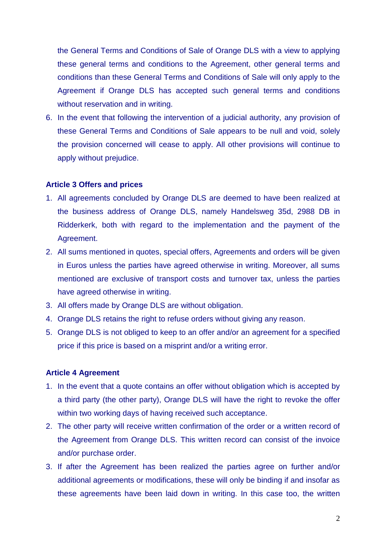the General Terms and Conditions of Sale of Orange DLS with a view to applying these general terms and conditions to the Agreement, other general terms and conditions than these General Terms and Conditions of Sale will only apply to the Agreement if Orange DLS has accepted such general terms and conditions without reservation and in writing.

6. In the event that following the intervention of a judicial authority, any provision of these General Terms and Conditions of Sale appears to be null and void, solely the provision concerned will cease to apply. All other provisions will continue to apply without prejudice.

### **Article 3 Offers and prices**

- 1. All agreements concluded by Orange DLS are deemed to have been realized at the business address of Orange DLS, namely Handelsweg 35d, 2988 DB in Ridderkerk, both with regard to the implementation and the payment of the Agreement.
- 2. All sums mentioned in quotes, special offers, Agreements and orders will be given in Euros unless the parties have agreed otherwise in writing. Moreover, all sums mentioned are exclusive of transport costs and turnover tax, unless the parties have agreed otherwise in writing.
- 3. All offers made by Orange DLS are without obligation.
- 4. Orange DLS retains the right to refuse orders without giving any reason.
- 5. Orange DLS is not obliged to keep to an offer and/or an agreement for a specified price if this price is based on a misprint and/or a writing error.

### **Article 4 Agreement**

- 1. In the event that a quote contains an offer without obligation which is accepted by a third party (the other party), Orange DLS will have the right to revoke the offer within two working days of having received such acceptance.
- 2. The other party will receive written confirmation of the order or a written record of the Agreement from Orange DLS. This written record can consist of the invoice and/or purchase order.
- 3. If after the Agreement has been realized the parties agree on further and/or additional agreements or modifications, these will only be binding if and insofar as these agreements have been laid down in writing. In this case too, the written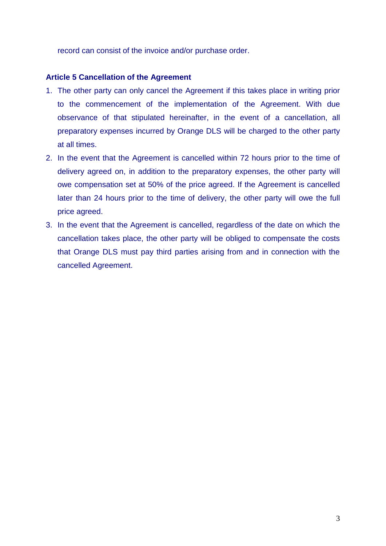record can consist of the invoice and/or purchase order.

### **Article 5 Cancellation of the Agreement**

- 1. The other party can only cancel the Agreement if this takes place in writing prior to the commencement of the implementation of the Agreement. With due observance of that stipulated hereinafter, in the event of a cancellation, all preparatory expenses incurred by Orange DLS will be charged to the other party at all times.
- 2. In the event that the Agreement is cancelled within 72 hours prior to the time of delivery agreed on, in addition to the preparatory expenses, the other party will owe compensation set at 50% of the price agreed. If the Agreement is cancelled later than 24 hours prior to the time of delivery, the other party will owe the full price agreed.
- 3. In the event that the Agreement is cancelled, regardless of the date on which the cancellation takes place, the other party will be obliged to compensate the costs that Orange DLS must pay third parties arising from and in connection with the cancelled Agreement.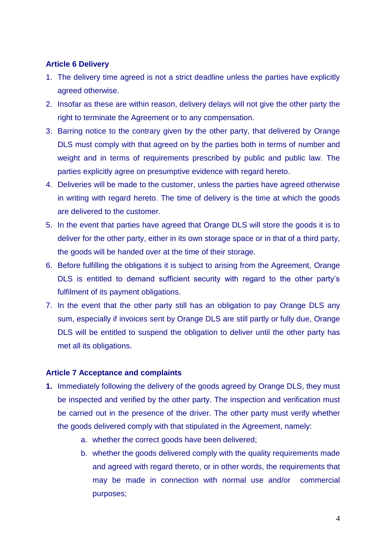# **Article 6 Delivery**

- 1. The delivery time agreed is not a strict deadline unless the parties have explicitly agreed otherwise.
- 2. Insofar as these are within reason, delivery delays will not give the other party the right to terminate the Agreement or to any compensation.
- 3. Barring notice to the contrary given by the other party, that delivered by Orange DLS must comply with that agreed on by the parties both in terms of number and weight and in terms of requirements prescribed by public and public law. The parties explicitly agree on presumptive evidence with regard hereto.
- 4. Deliveries will be made to the customer, unless the parties have agreed otherwise in writing with regard hereto. The time of delivery is the time at which the goods are delivered to the customer.
- 5. In the event that parties have agreed that Orange DLS will store the goods it is to deliver for the other party, either in its own storage space or in that of a third party, the goods will be handed over at the time of their storage.
- 6. Before fulfilling the obligations it is subject to arising from the Agreement, Orange DLS is entitled to demand sufficient security with regard to the other party's fulfilment of its payment obligations.
- 7. In the event that the other party still has an obligation to pay Orange DLS any sum, especially if invoices sent by Orange DLS are still partly or fully due, Orange DLS will be entitled to suspend the obligation to deliver until the other party has met all its obligations.

### **Article 7 Acceptance and complaints**

- **1.** Immediately following the delivery of the goods agreed by Orange DLS, they must be inspected and verified by the other party. The inspection and verification must be carried out in the presence of the driver. The other party must verify whether the goods delivered comply with that stipulated in the Agreement, namely:
	- a. whether the correct goods have been delivered;
	- b. whether the goods delivered comply with the quality requirements made and agreed with regard thereto, or in other words, the requirements that may be made in connection with normal use and/or commercial purposes;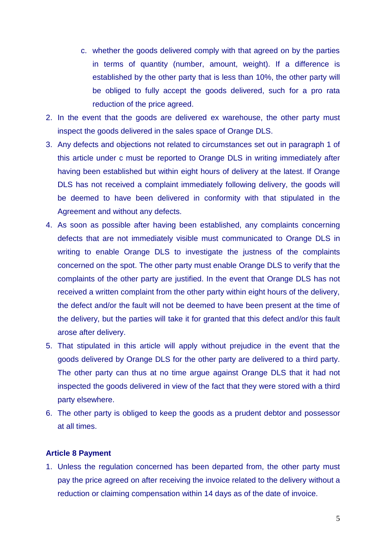- c. whether the goods delivered comply with that agreed on by the parties in terms of quantity (number, amount, weight). If a difference is established by the other party that is less than 10%, the other party will be obliged to fully accept the goods delivered, such for a pro rata reduction of the price agreed.
- 2. In the event that the goods are delivered ex warehouse, the other party must inspect the goods delivered in the sales space of Orange DLS.
- 3. Any defects and objections not related to circumstances set out in paragraph 1 of this article under c must be reported to Orange DLS in writing immediately after having been established but within eight hours of delivery at the latest. If Orange DLS has not received a complaint immediately following delivery, the goods will be deemed to have been delivered in conformity with that stipulated in the Agreement and without any defects.
- 4. As soon as possible after having been established, any complaints concerning defects that are not immediately visible must communicated to Orange DLS in writing to enable Orange DLS to investigate the justness of the complaints concerned on the spot. The other party must enable Orange DLS to verify that the complaints of the other party are justified. In the event that Orange DLS has not received a written complaint from the other party within eight hours of the delivery, the defect and/or the fault will not be deemed to have been present at the time of the delivery, but the parties will take it for granted that this defect and/or this fault arose after delivery.
- 5. That stipulated in this article will apply without prejudice in the event that the goods delivered by Orange DLS for the other party are delivered to a third party. The other party can thus at no time argue against Orange DLS that it had not inspected the goods delivered in view of the fact that they were stored with a third party elsewhere.
- 6. The other party is obliged to keep the goods as a prudent debtor and possessor at all times.

#### **Article 8 Payment**

1. Unless the regulation concerned has been departed from, the other party must pay the price agreed on after receiving the invoice related to the delivery without a reduction or claiming compensation within 14 days as of the date of invoice.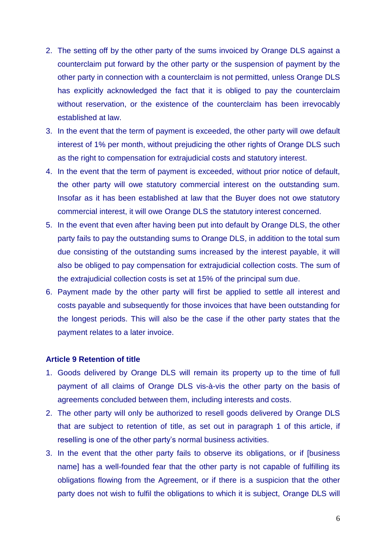- 2. The setting off by the other party of the sums invoiced by Orange DLS against a counterclaim put forward by the other party or the suspension of payment by the other party in connection with a counterclaim is not permitted, unless Orange DLS has explicitly acknowledged the fact that it is obliged to pay the counterclaim without reservation, or the existence of the counterclaim has been irrevocably established at law.
- 3. In the event that the term of payment is exceeded, the other party will owe default interest of 1% per month, without prejudicing the other rights of Orange DLS such as the right to compensation for extrajudicial costs and statutory interest.
- 4. In the event that the term of payment is exceeded, without prior notice of default, the other party will owe statutory commercial interest on the outstanding sum. Insofar as it has been established at law that the Buyer does not owe statutory commercial interest, it will owe Orange DLS the statutory interest concerned.
- 5. In the event that even after having been put into default by Orange DLS, the other party fails to pay the outstanding sums to Orange DLS, in addition to the total sum due consisting of the outstanding sums increased by the interest payable, it will also be obliged to pay compensation for extrajudicial collection costs. The sum of the extrajudicial collection costs is set at 15% of the principal sum due.
- 6. Payment made by the other party will first be applied to settle all interest and costs payable and subsequently for those invoices that have been outstanding for the longest periods. This will also be the case if the other party states that the payment relates to a later invoice.

#### **Article 9 Retention of title**

- 1. Goods delivered by Orange DLS will remain its property up to the time of full payment of all claims of Orange DLS vis-à-vis the other party on the basis of agreements concluded between them, including interests and costs.
- 2. The other party will only be authorized to resell goods delivered by Orange DLS that are subject to retention of title, as set out in paragraph 1 of this article, if reselling is one of the other party's normal business activities.
- 3. In the event that the other party fails to observe its obligations, or if [business name] has a well-founded fear that the other party is not capable of fulfilling its obligations flowing from the Agreement, or if there is a suspicion that the other party does not wish to fulfil the obligations to which it is subject, Orange DLS will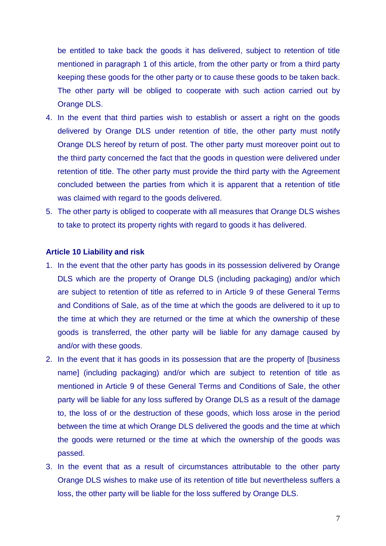be entitled to take back the goods it has delivered, subject to retention of title mentioned in paragraph 1 of this article, from the other party or from a third party keeping these goods for the other party or to cause these goods to be taken back. The other party will be obliged to cooperate with such action carried out by Orange DLS.

- 4. In the event that third parties wish to establish or assert a right on the goods delivered by Orange DLS under retention of title, the other party must notify Orange DLS hereof by return of post. The other party must moreover point out to the third party concerned the fact that the goods in question were delivered under retention of title. The other party must provide the third party with the Agreement concluded between the parties from which it is apparent that a retention of title was claimed with regard to the goods delivered.
- 5. The other party is obliged to cooperate with all measures that Orange DLS wishes to take to protect its property rights with regard to goods it has delivered.

#### **Article 10 Liability and risk**

- 1. In the event that the other party has goods in its possession delivered by Orange DLS which are the property of Orange DLS (including packaging) and/or which are subject to retention of title as referred to in Article 9 of these General Terms and Conditions of Sale, as of the time at which the goods are delivered to it up to the time at which they are returned or the time at which the ownership of these goods is transferred, the other party will be liable for any damage caused by and/or with these goods.
- 2. In the event that it has goods in its possession that are the property of [business name] (including packaging) and/or which are subject to retention of title as mentioned in Article 9 of these General Terms and Conditions of Sale, the other party will be liable for any loss suffered by Orange DLS as a result of the damage to, the loss of or the destruction of these goods, which loss arose in the period between the time at which Orange DLS delivered the goods and the time at which the goods were returned or the time at which the ownership of the goods was passed.
- 3. In the event that as a result of circumstances attributable to the other party Orange DLS wishes to make use of its retention of title but nevertheless suffers a loss, the other party will be liable for the loss suffered by Orange DLS.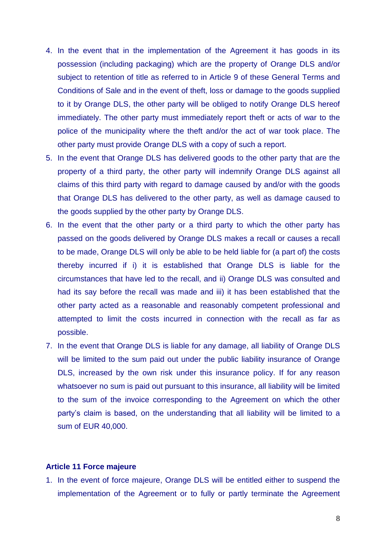- 4. In the event that in the implementation of the Agreement it has goods in its possession (including packaging) which are the property of Orange DLS and/or subject to retention of title as referred to in Article 9 of these General Terms and Conditions of Sale and in the event of theft, loss or damage to the goods supplied to it by Orange DLS, the other party will be obliged to notify Orange DLS hereof immediately. The other party must immediately report theft or acts of war to the police of the municipality where the theft and/or the act of war took place. The other party must provide Orange DLS with a copy of such a report.
- 5. In the event that Orange DLS has delivered goods to the other party that are the property of a third party, the other party will indemnify Orange DLS against all claims of this third party with regard to damage caused by and/or with the goods that Orange DLS has delivered to the other party, as well as damage caused to the goods supplied by the other party by Orange DLS.
- 6. In the event that the other party or a third party to which the other party has passed on the goods delivered by Orange DLS makes a recall or causes a recall to be made, Orange DLS will only be able to be held liable for (a part of) the costs thereby incurred if i) it is established that Orange DLS is liable for the circumstances that have led to the recall, and ii) Orange DLS was consulted and had its say before the recall was made and iii) it has been established that the other party acted as a reasonable and reasonably competent professional and attempted to limit the costs incurred in connection with the recall as far as possible.
- 7. In the event that Orange DLS is liable for any damage, all liability of Orange DLS will be limited to the sum paid out under the public liability insurance of Orange DLS, increased by the own risk under this insurance policy. If for any reason whatsoever no sum is paid out pursuant to this insurance, all liability will be limited to the sum of the invoice corresponding to the Agreement on which the other party's claim is based, on the understanding that all liability will be limited to a sum of EUR 40,000.

#### **Article 11 Force majeure**

1. In the event of force majeure, Orange DLS will be entitled either to suspend the implementation of the Agreement or to fully or partly terminate the Agreement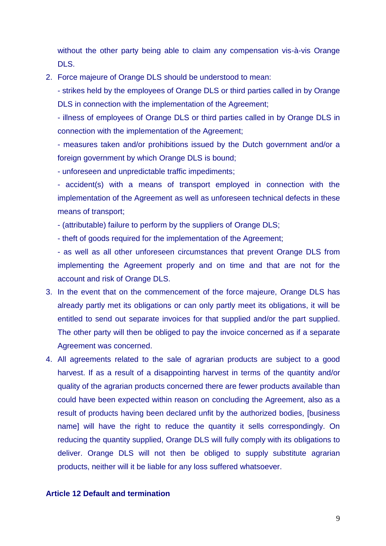without the other party being able to claim any compensation vis-à-vis Orange DLS.

- 2. Force majeure of Orange DLS should be understood to mean:
	- strikes held by the employees of Orange DLS or third parties called in by Orange DLS in connection with the implementation of the Agreement;

- illness of employees of Orange DLS or third parties called in by Orange DLS in connection with the implementation of the Agreement;

- measures taken and/or prohibitions issued by the Dutch government and/or a foreign government by which Orange DLS is bound;

- unforeseen and unpredictable traffic impediments;

- accident(s) with a means of transport employed in connection with the implementation of the Agreement as well as unforeseen technical defects in these means of transport;

- (attributable) failure to perform by the suppliers of Orange DLS;

- theft of goods required for the implementation of the Agreement;

- as well as all other unforeseen circumstances that prevent Orange DLS from implementing the Agreement properly and on time and that are not for the account and risk of Orange DLS.

- 3. In the event that on the commencement of the force majeure, Orange DLS has already partly met its obligations or can only partly meet its obligations, it will be entitled to send out separate invoices for that supplied and/or the part supplied. The other party will then be obliged to pay the invoice concerned as if a separate Agreement was concerned.
- 4. All agreements related to the sale of agrarian products are subject to a good harvest. If as a result of a disappointing harvest in terms of the quantity and/or quality of the agrarian products concerned there are fewer products available than could have been expected within reason on concluding the Agreement, also as a result of products having been declared unfit by the authorized bodies, [business name] will have the right to reduce the quantity it sells correspondingly. On reducing the quantity supplied, Orange DLS will fully comply with its obligations to deliver. Orange DLS will not then be obliged to supply substitute agrarian products, neither will it be liable for any loss suffered whatsoever.

#### **Article 12 Default and termination**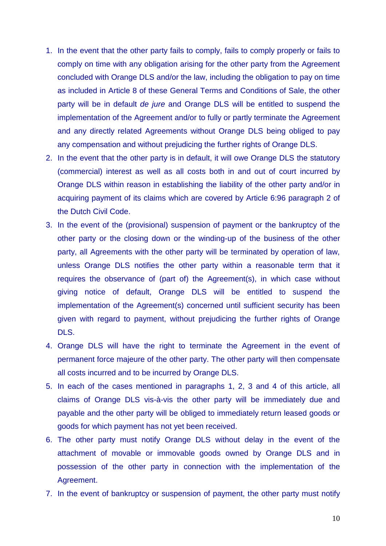- 1. In the event that the other party fails to comply, fails to comply properly or fails to comply on time with any obligation arising for the other party from the Agreement concluded with Orange DLS and/or the law, including the obligation to pay on time as included in Article 8 of these General Terms and Conditions of Sale, the other party will be in default *de jure* and Orange DLS will be entitled to suspend the implementation of the Agreement and/or to fully or partly terminate the Agreement and any directly related Agreements without Orange DLS being obliged to pay any compensation and without prejudicing the further rights of Orange DLS.
- 2. In the event that the other party is in default, it will owe Orange DLS the statutory (commercial) interest as well as all costs both in and out of court incurred by Orange DLS within reason in establishing the liability of the other party and/or in acquiring payment of its claims which are covered by Article 6:96 paragraph 2 of the Dutch Civil Code.
- 3. In the event of the (provisional) suspension of payment or the bankruptcy of the other party or the closing down or the winding-up of the business of the other party, all Agreements with the other party will be terminated by operation of law, unless Orange DLS notifies the other party within a reasonable term that it requires the observance of (part of) the Agreement(s), in which case without giving notice of default, Orange DLS will be entitled to suspend the implementation of the Agreement(s) concerned until sufficient security has been given with regard to payment, without prejudicing the further rights of Orange DLS.
- 4. Orange DLS will have the right to terminate the Agreement in the event of permanent force majeure of the other party. The other party will then compensate all costs incurred and to be incurred by Orange DLS.
- 5. In each of the cases mentioned in paragraphs 1, 2, 3 and 4 of this article, all claims of Orange DLS vis-à-vis the other party will be immediately due and payable and the other party will be obliged to immediately return leased goods or goods for which payment has not yet been received.
- 6. The other party must notify Orange DLS without delay in the event of the attachment of movable or immovable goods owned by Orange DLS and in possession of the other party in connection with the implementation of the Agreement.
- 7. In the event of bankruptcy or suspension of payment, the other party must notify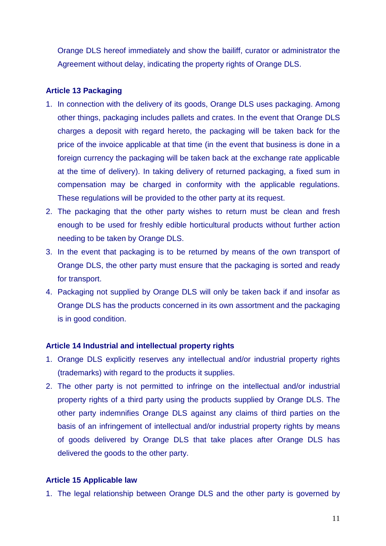Orange DLS hereof immediately and show the bailiff, curator or administrator the Agreement without delay, indicating the property rights of Orange DLS.

### **Article 13 Packaging**

- 1. In connection with the delivery of its goods, Orange DLS uses packaging. Among other things, packaging includes pallets and crates. In the event that Orange DLS charges a deposit with regard hereto, the packaging will be taken back for the price of the invoice applicable at that time (in the event that business is done in a foreign currency the packaging will be taken back at the exchange rate applicable at the time of delivery). In taking delivery of returned packaging, a fixed sum in compensation may be charged in conformity with the applicable regulations. These regulations will be provided to the other party at its request.
- 2. The packaging that the other party wishes to return must be clean and fresh enough to be used for freshly edible horticultural products without further action needing to be taken by Orange DLS.
- 3. In the event that packaging is to be returned by means of the own transport of Orange DLS, the other party must ensure that the packaging is sorted and ready for transport.
- 4. Packaging not supplied by Orange DLS will only be taken back if and insofar as Orange DLS has the products concerned in its own assortment and the packaging is in good condition.

### **Article 14 Industrial and intellectual property rights**

- 1. Orange DLS explicitly reserves any intellectual and/or industrial property rights (trademarks) with regard to the products it supplies.
- 2. The other party is not permitted to infringe on the intellectual and/or industrial property rights of a third party using the products supplied by Orange DLS. The other party indemnifies Orange DLS against any claims of third parties on the basis of an infringement of intellectual and/or industrial property rights by means of goods delivered by Orange DLS that take places after Orange DLS has delivered the goods to the other party.

#### **Article 15 Applicable law**

1. The legal relationship between Orange DLS and the other party is governed by